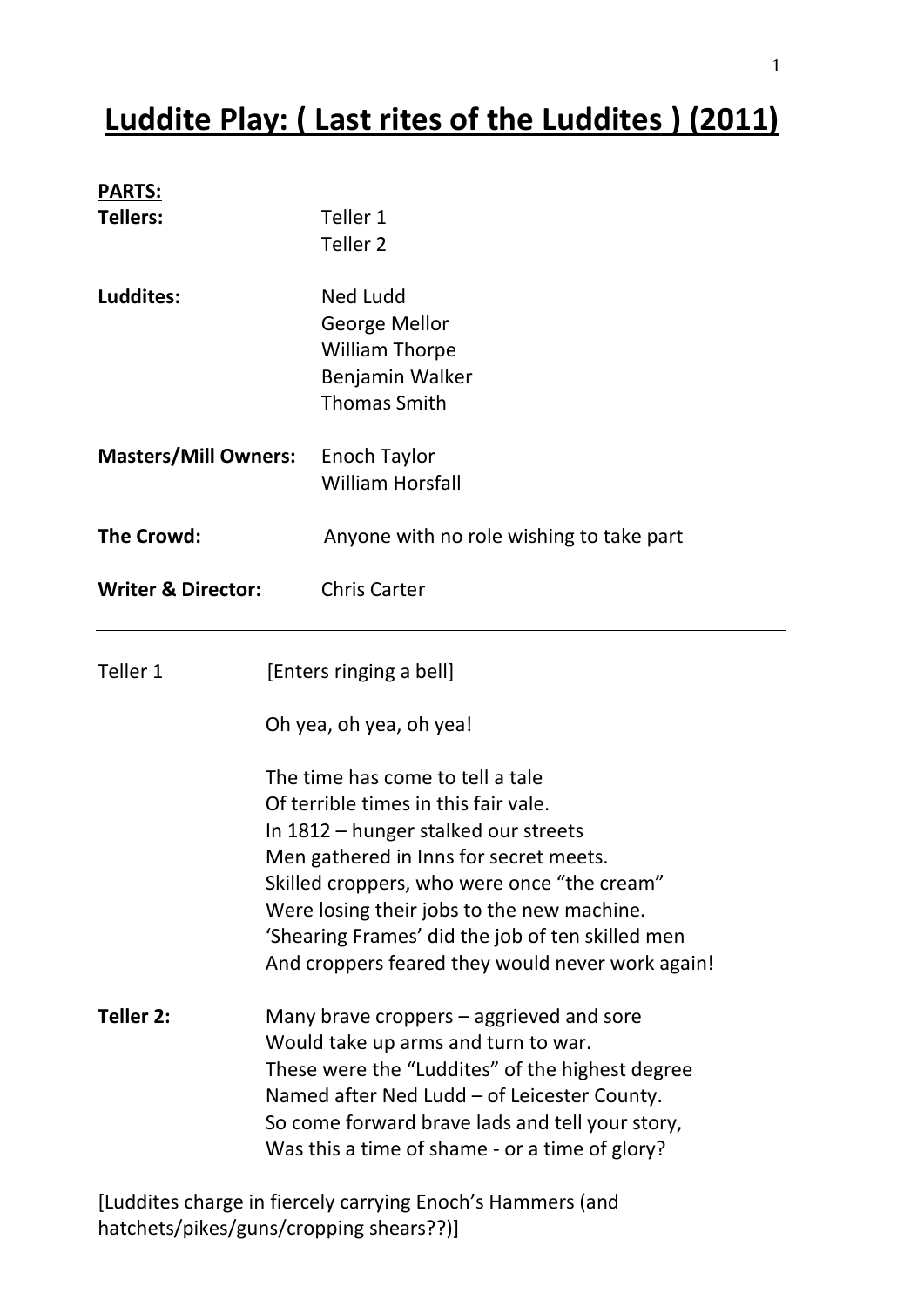## **Luddite Play: ( Last rites of the Luddites ) (2011)**

| <b>PARTS:</b>                                      |                                                                                 |                                                  |  |
|----------------------------------------------------|---------------------------------------------------------------------------------|--------------------------------------------------|--|
| <b>Tellers:</b>                                    |                                                                                 | Teller 1                                         |  |
|                                                    |                                                                                 | Teller <sub>2</sub>                              |  |
| Luddites:                                          |                                                                                 | <b>Ned Ludd</b>                                  |  |
|                                                    |                                                                                 | George Mellor                                    |  |
|                                                    |                                                                                 | <b>William Thorpe</b>                            |  |
|                                                    |                                                                                 | Benjamin Walker                                  |  |
|                                                    |                                                                                 | <b>Thomas Smith</b>                              |  |
| <b>Masters/Mill Owners:</b>                        |                                                                                 | Enoch Taylor                                     |  |
|                                                    |                                                                                 | <b>William Horsfall</b>                          |  |
| <b>The Crowd:</b><br><b>Writer &amp; Director:</b> |                                                                                 | Anyone with no role wishing to take part         |  |
|                                                    |                                                                                 | <b>Chris Carter</b>                              |  |
| Teller 1                                           |                                                                                 | [Enters ringing a bell]                          |  |
|                                                    |                                                                                 | Oh yea, oh yea, oh yea!                          |  |
|                                                    |                                                                                 | The time has come to tell a tale                 |  |
|                                                    |                                                                                 | Of terrible times in this fair vale.             |  |
|                                                    |                                                                                 | In 1812 – hunger stalked our streets             |  |
|                                                    |                                                                                 | Men gathered in Inns for secret meets.           |  |
|                                                    |                                                                                 | Skilled croppers, who were once "the cream"      |  |
|                                                    |                                                                                 | Were losing their jobs to the new machine.       |  |
|                                                    |                                                                                 | 'Shearing Frames' did the job of ten skilled men |  |
|                                                    |                                                                                 | And croppers feared they would never work again! |  |
| Teller 2:                                          | Many brave croppers – aggrieved and sore<br>Would take up arms and turn to war. |                                                  |  |
|                                                    |                                                                                 |                                                  |  |
|                                                    | These were the "Luddites" of the highest degree                                 |                                                  |  |
|                                                    | Named after Ned Ludd - of Leicester County.                                     |                                                  |  |
|                                                    |                                                                                 | So come forward brave lads and tell your story,  |  |
|                                                    |                                                                                 | Was this a time of shame - or a time of glory?   |  |
|                                                    |                                                                                 |                                                  |  |

[Luddites charge in fiercely carrying Enoch's Hammers (and hatchets/pikes/guns/cropping shears??)]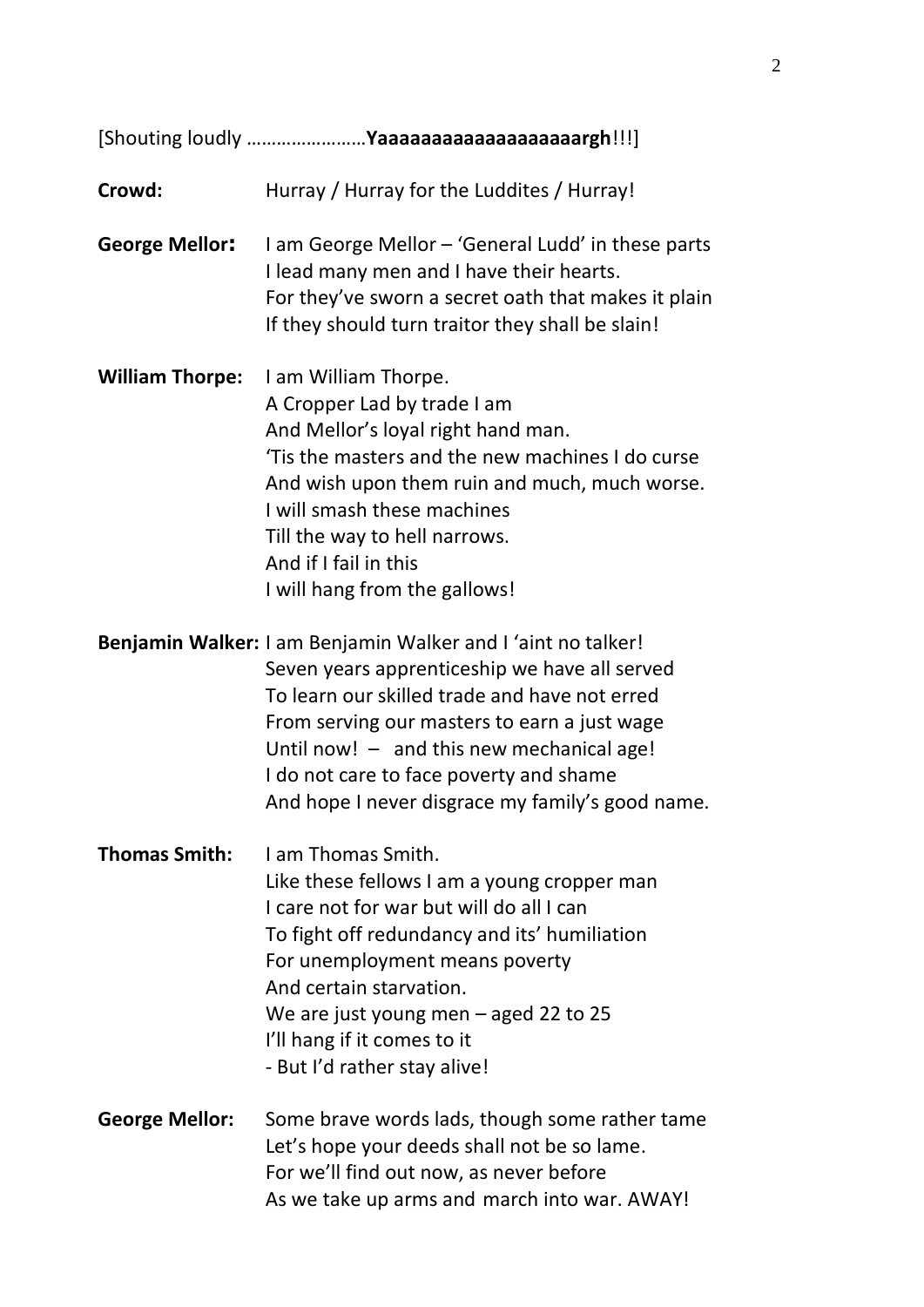| Crowd:                 | Hurray / Hurray for the Luddites / Hurray!                                                                                                                                                                                                                                                                                                                 |
|------------------------|------------------------------------------------------------------------------------------------------------------------------------------------------------------------------------------------------------------------------------------------------------------------------------------------------------------------------------------------------------|
| <b>George Mellor:</b>  | I am George Mellor - 'General Ludd' in these parts<br>I lead many men and I have their hearts.<br>For they've sworn a secret oath that makes it plain<br>If they should turn traitor they shall be slain!                                                                                                                                                  |
| <b>William Thorpe:</b> | I am William Thorpe.<br>A Cropper Lad by trade I am<br>And Mellor's loyal right hand man.<br>'Tis the masters and the new machines I do curse<br>And wish upon them ruin and much, much worse.<br>I will smash these machines<br>Till the way to hell narrows.<br>And if I fail in this<br>I will hang from the gallows!                                   |
|                        | Benjamin Walker: I am Benjamin Walker and I 'aint no talker!<br>Seven years apprenticeship we have all served<br>To learn our skilled trade and have not erred<br>From serving our masters to earn a just wage<br>Until now! - and this new mechanical age!<br>I do not care to face poverty and shame<br>And hope I never disgrace my family's good name. |
| <b>Thomas Smith:</b>   | Lam Thomas Smith.<br>Like these fellows I am a young cropper man<br>I care not for war but will do all I can<br>To fight off redundancy and its' humiliation<br>For unemployment means poverty<br>And certain starvation.<br>We are just young men $-$ aged 22 to 25<br>I'll hang if it comes to it<br>- But I'd rather stay alive!                        |
| <b>George Mellor:</b>  | Some brave words lads, though some rather tame<br>Let's hope your deeds shall not be so lame.<br>For we'll find out now, as never before<br>As we take up arms and march into war. AWAY!                                                                                                                                                                   |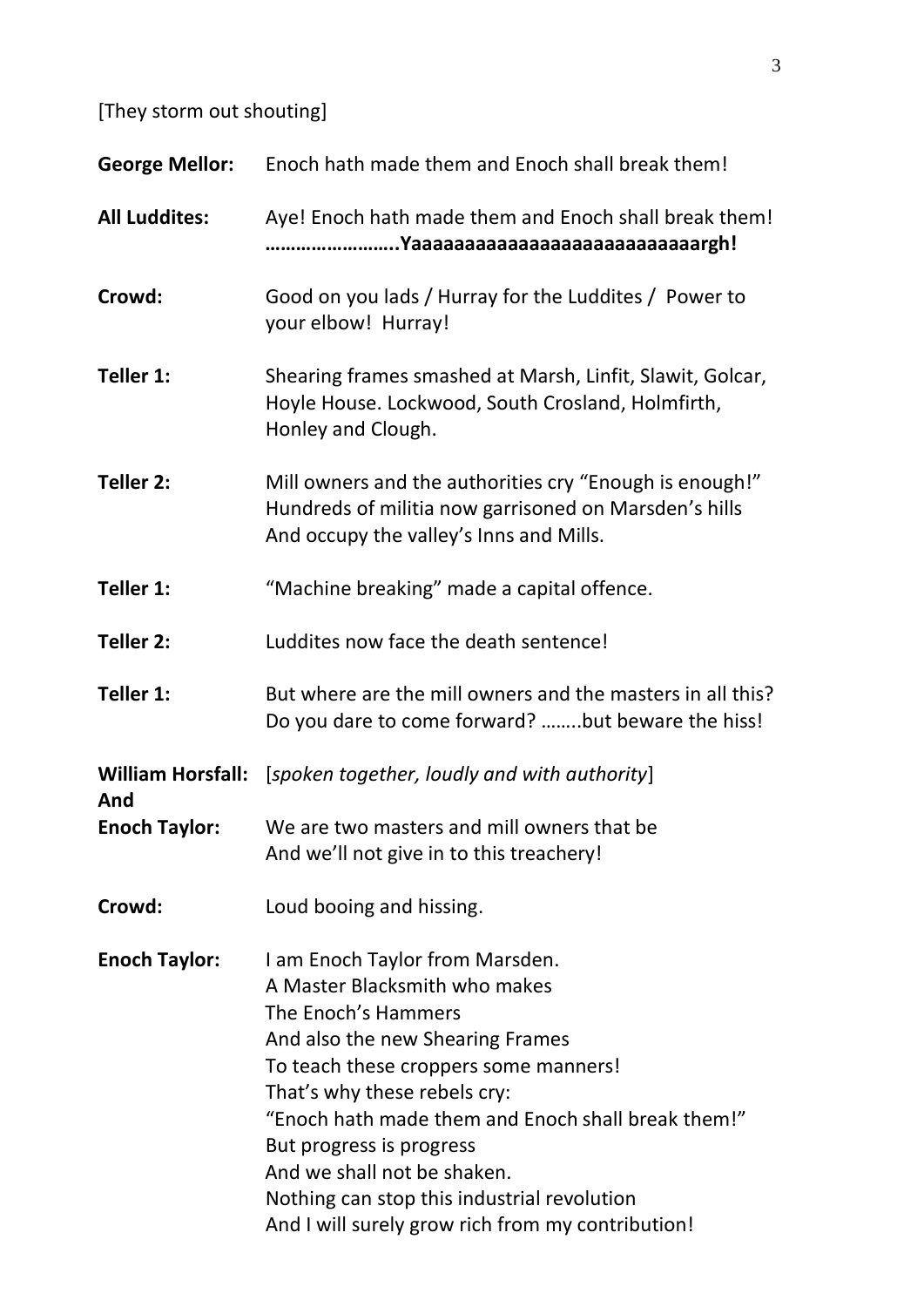[They storm out shouting]

| <b>George Mellor:</b>           | Enoch hath made them and Enoch shall break them!                                                                                                                                                                                                                                                                                                                                                                          |
|---------------------------------|---------------------------------------------------------------------------------------------------------------------------------------------------------------------------------------------------------------------------------------------------------------------------------------------------------------------------------------------------------------------------------------------------------------------------|
| <b>All Luddites:</b>            | Aye! Enoch hath made them and Enoch shall break them!                                                                                                                                                                                                                                                                                                                                                                     |
| Crowd:                          | Good on you lads / Hurray for the Luddites / Power to<br>your elbow! Hurray!                                                                                                                                                                                                                                                                                                                                              |
| Teller 1:                       | Shearing frames smashed at Marsh, Linfit, Slawit, Golcar,<br>Hoyle House. Lockwood, South Crosland, Holmfirth,<br>Honley and Clough.                                                                                                                                                                                                                                                                                      |
| Teller 2:                       | Mill owners and the authorities cry "Enough is enough!"<br>Hundreds of militia now garrisoned on Marsden's hills<br>And occupy the valley's Inns and Mills.                                                                                                                                                                                                                                                               |
| Teller 1:                       | "Machine breaking" made a capital offence.                                                                                                                                                                                                                                                                                                                                                                                |
| Teller 2:                       | Luddites now face the death sentence!                                                                                                                                                                                                                                                                                                                                                                                     |
| Teller 1:                       | But where are the mill owners and the masters in all this?<br>Do you dare to come forward? but beware the hiss!                                                                                                                                                                                                                                                                                                           |
| <b>William Horsfall:</b><br>And | [spoken together, loudly and with authority]                                                                                                                                                                                                                                                                                                                                                                              |
| <b>Enoch Taylor:</b>            | We are two masters and mill owners that be<br>And we'll not give in to this treachery!                                                                                                                                                                                                                                                                                                                                    |
| Crowd:                          | Loud booing and hissing.                                                                                                                                                                                                                                                                                                                                                                                                  |
| <b>Enoch Taylor:</b>            | I am Enoch Taylor from Marsden.<br>A Master Blacksmith who makes<br>The Enoch's Hammers<br>And also the new Shearing Frames<br>To teach these croppers some manners!<br>That's why these rebels cry:<br>"Enoch hath made them and Enoch shall break them!"<br>But progress is progress<br>And we shall not be shaken.<br>Nothing can stop this industrial revolution<br>And I will surely grow rich from my contribution! |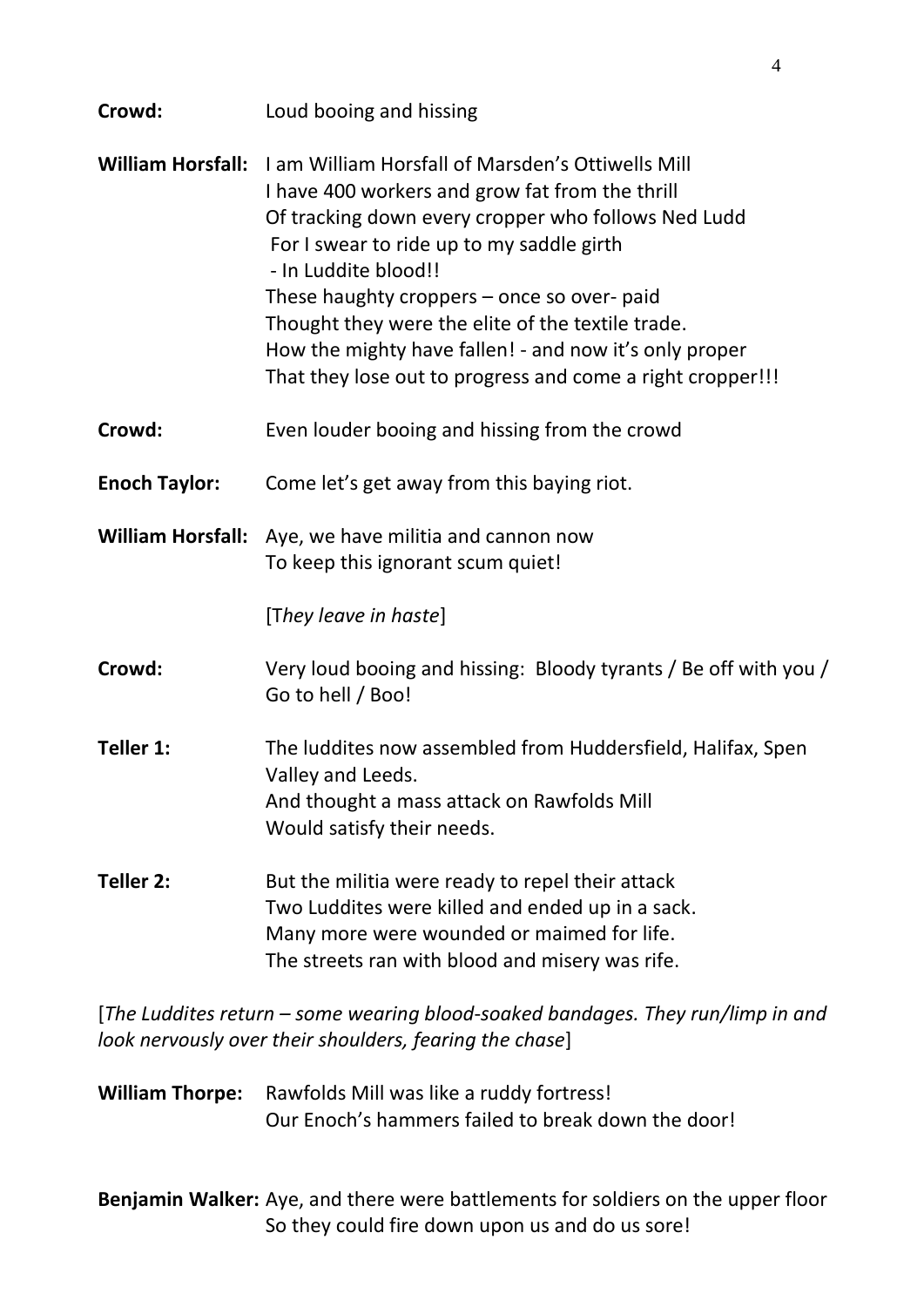| Crowd:                   | Loud booing and hissing                                                                                                                                                                                                                                                                                                                                                                                                                                             |
|--------------------------|---------------------------------------------------------------------------------------------------------------------------------------------------------------------------------------------------------------------------------------------------------------------------------------------------------------------------------------------------------------------------------------------------------------------------------------------------------------------|
| <b>William Horsfall:</b> | <b>I am William Horsfall of Marsden's Ottiwells Mill</b><br>I have 400 workers and grow fat from the thrill<br>Of tracking down every cropper who follows Ned Ludd<br>For I swear to ride up to my saddle girth<br>- In Luddite blood!!<br>These haughty croppers - once so over- paid<br>Thought they were the elite of the textile trade.<br>How the mighty have fallen! - and now it's only proper<br>That they lose out to progress and come a right cropper!!! |
| Crowd:                   | Even louder booing and hissing from the crowd                                                                                                                                                                                                                                                                                                                                                                                                                       |
| <b>Enoch Taylor:</b>     | Come let's get away from this baying riot.                                                                                                                                                                                                                                                                                                                                                                                                                          |
| <b>William Horsfall:</b> | Aye, we have militia and cannon now<br>To keep this ignorant scum quiet!<br>[They leave in haste]                                                                                                                                                                                                                                                                                                                                                                   |
| Crowd:                   | Very loud booing and hissing: Bloody tyrants / Be off with you /<br>Go to hell / Boo!                                                                                                                                                                                                                                                                                                                                                                               |
| Teller 1:                | The luddites now assembled from Huddersfield, Halifax, Spen<br>Valley and Leeds.<br>And thought a mass attack on Rawfolds Mill<br>Would satisfy their needs.                                                                                                                                                                                                                                                                                                        |
| Teller 2:                | But the militia were ready to repel their attack<br>Two Luddites were killed and ended up in a sack.<br>Many more were wounded or maimed for life.<br>The streets ran with blood and misery was rife.                                                                                                                                                                                                                                                               |
|                          | <u>IThe Ludditectature</u> come wearing blood coaked bandages, Thou run limp in and                                                                                                                                                                                                                                                                                                                                                                                 |

[*The Luddites return – some wearing blood*-*soaked bandages. They run/limp in and look nervously over their shoulders, fearing the chase*]

**William Thorpe:** Rawfolds Mill was like a ruddy fortress! Our Enoch's hammers failed to break down the door!

**Benjamin Walker:** Aye, and there were battlements for soldiers on the upper floor So they could fire down upon us and do us sore!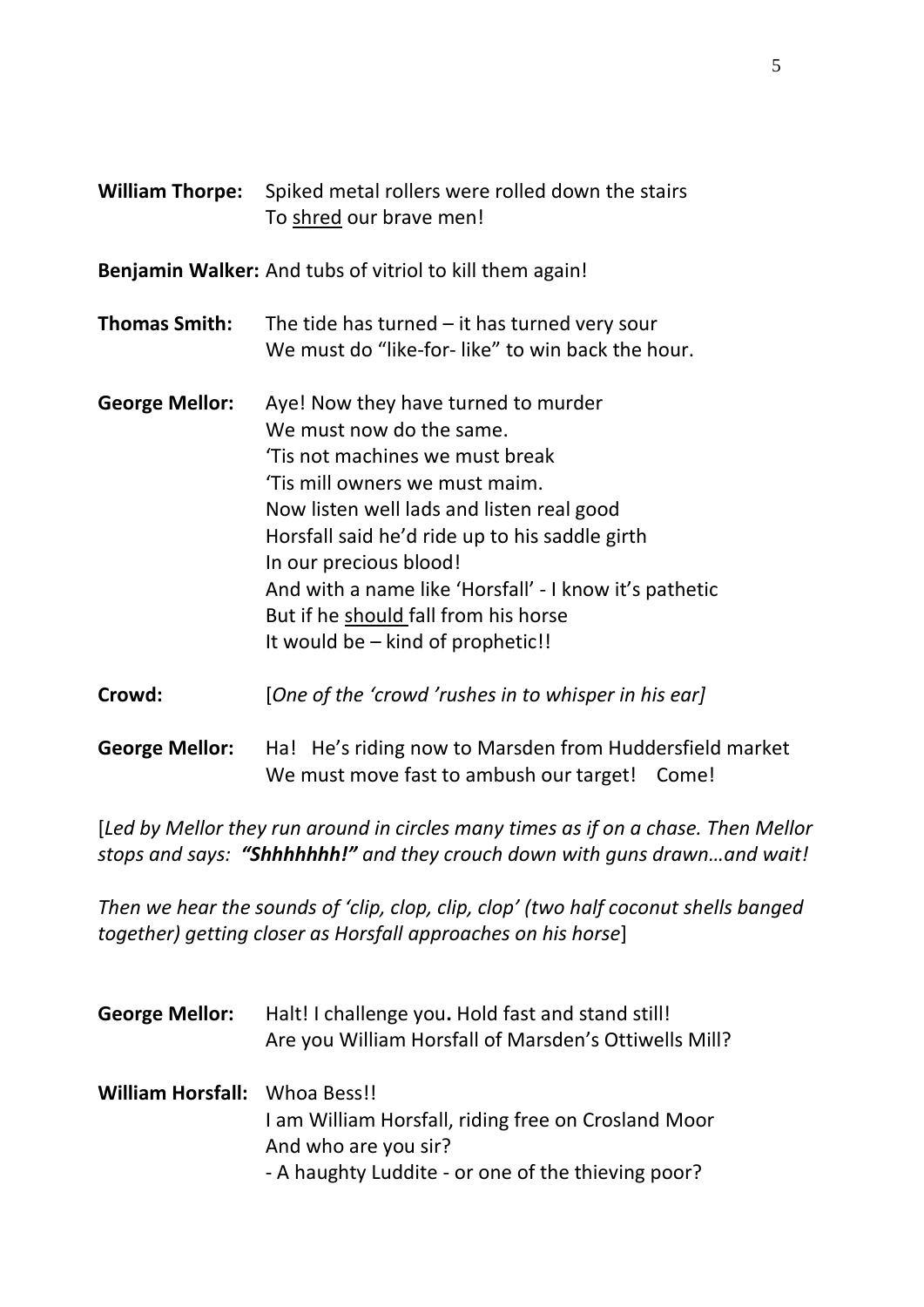| <b>William Thorpe:</b> | Spiked metal rollers were rolled down the stairs<br>To shred our brave men!                                                                                                                                                                                                                                                                                                                         |
|------------------------|-----------------------------------------------------------------------------------------------------------------------------------------------------------------------------------------------------------------------------------------------------------------------------------------------------------------------------------------------------------------------------------------------------|
|                        | <b>Benjamin Walker:</b> And tubs of vitriol to kill them again!                                                                                                                                                                                                                                                                                                                                     |
| <b>Thomas Smith:</b>   | The tide has turned $-$ it has turned very sour<br>We must do "like-for-like" to win back the hour.                                                                                                                                                                                                                                                                                                 |
| <b>George Mellor:</b>  | Aye! Now they have turned to murder<br>We must now do the same.<br>Tis not machines we must break<br>'Tis mill owners we must maim.<br>Now listen well lads and listen real good<br>Horsfall said he'd ride up to his saddle girth<br>In our precious blood!<br>And with a name like 'Horsfall' - I know it's pathetic<br>But if he should fall from his horse<br>It would be – kind of prophetic!! |
| Crowd:                 | [One of the 'crowd 'rushes in to whisper in his ear]                                                                                                                                                                                                                                                                                                                                                |

**George Mellor:** Ha! He's riding now to Marsden from Huddersfield market We must move fast to ambush our target! Come!

[*Led by Mellor they run around in circles many times as if on a chase. Then Mellor stops and says: "Shhhhhhh!" and they crouch down with guns drawn…and wait!*

*Then we hear the sounds of 'clip, clop, clip, clop' (two half coconut shells banged together) getting closer as Horsfall approaches on his horse*]

**George Mellor:** Halt! I challenge you**.** Hold fast and stand still! Are you William Horsfall of Marsden's Ottiwells Mill? **William Horsfall:** Whoa Bess!! I am William Horsfall, riding free on Crosland Moor And who are you sir? - A haughty Luddite - or one of the thieving poor?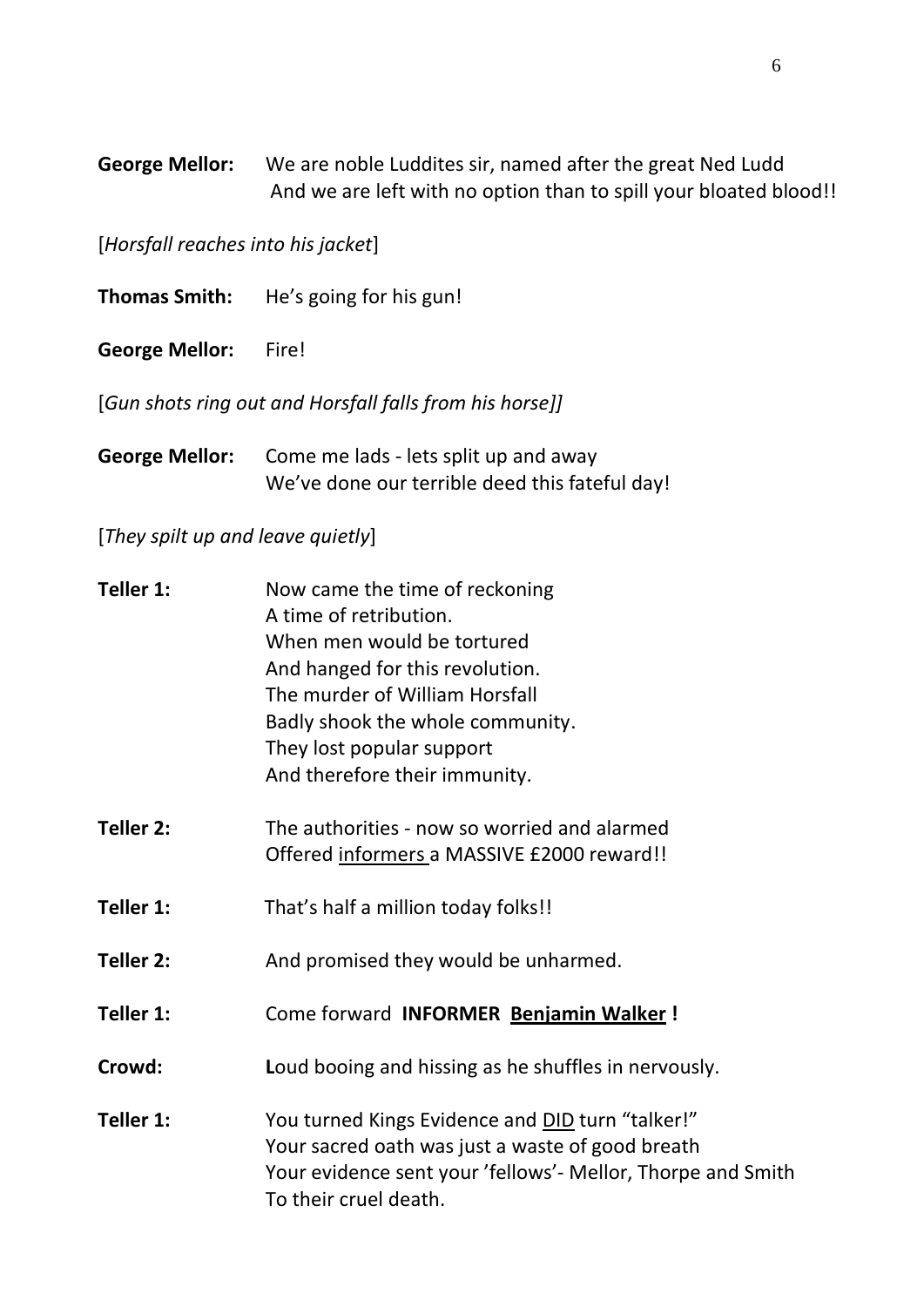**George Mellor:** We are noble Luddites sir, named after the great Ned Ludd And we are left with no option than to spill your bloated blood!!

[*Horsfall reaches into his jacket*]

**Thomas Smith:** He's going for his gun!

**George Mellor:** Fire!

[*Gun shots ring out and Horsfall falls from his horse]]*

**George Mellor:** Come me lads - lets split up and away We've done our terrible deed this fateful day!

## [*They spilt up and leave quietly*]

| Teller 1: | Now came the time of reckoning<br>A time of retribution.<br>When men would be tortured<br>And hanged for this revolution.<br>The murder of William Horsfall<br>Badly shook the whole community.<br>They lost popular support<br>And therefore their immunity. |
|-----------|---------------------------------------------------------------------------------------------------------------------------------------------------------------------------------------------------------------------------------------------------------------|
| Teller 2: | The authorities - now so worried and alarmed<br>Offered informers a MASSIVE £2000 reward!!                                                                                                                                                                    |
| Teller 1: | That's half a million today folks!!                                                                                                                                                                                                                           |
| Teller 2: | And promised they would be unharmed.                                                                                                                                                                                                                          |
| Teller 1: | Come forward INFORMER Benjamin Walker!                                                                                                                                                                                                                        |
| Crowd:    | Loud booing and hissing as he shuffles in nervously.                                                                                                                                                                                                          |
| Teller 1: | You turned Kings Evidence and DID turn "talker!"<br>Your sacred oath was just a waste of good breath<br>Your evidence sent your 'fellows'- Mellor, Thorpe and Smith<br>To their cruel death.                                                                  |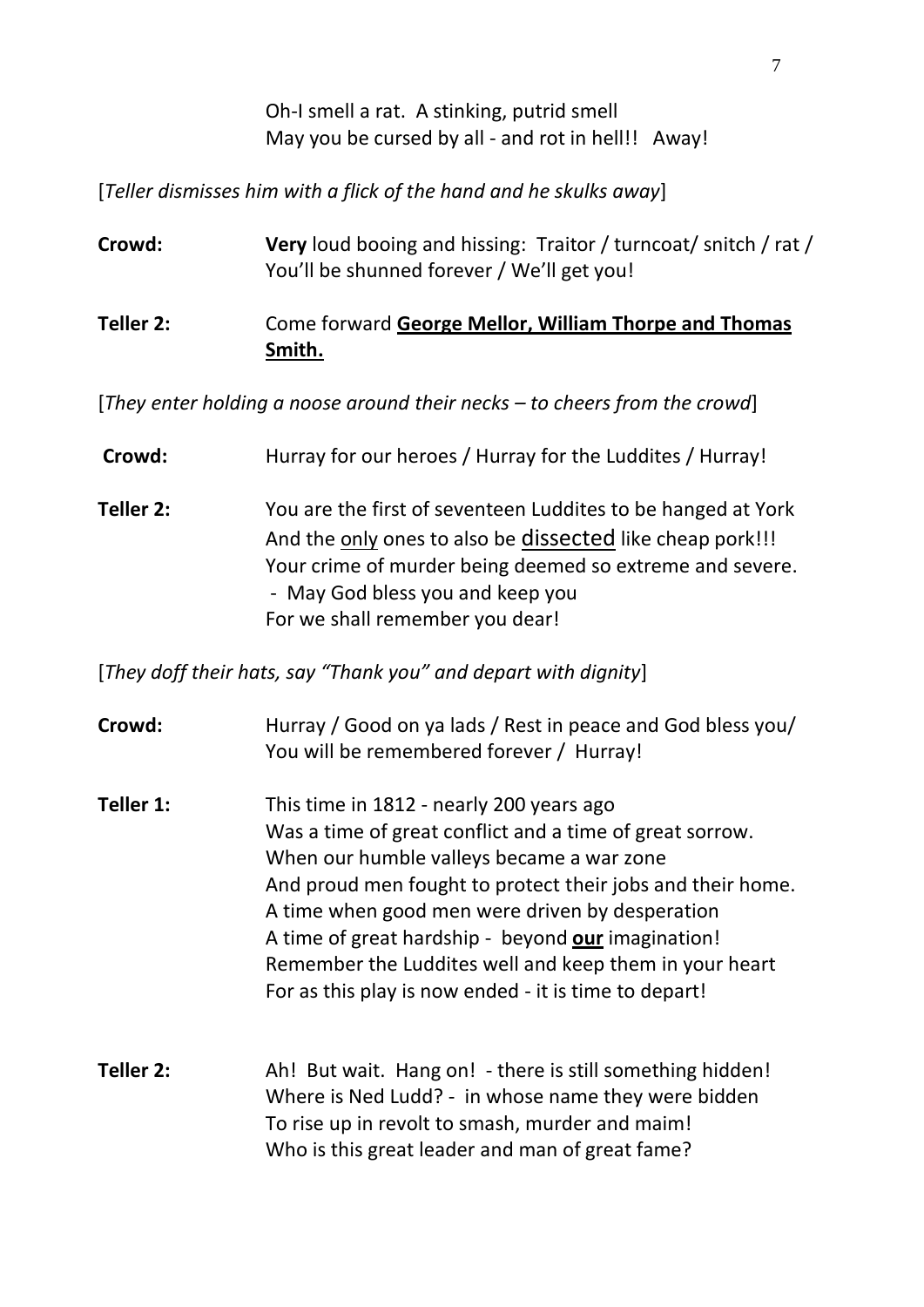Oh-I smell a rat. A stinking, putrid smell May you be cursed by all - and rot in hell!! Away!

[*Teller dismisses him with a flick of the hand and he skulks away*]

| Crowd:    | <b>Very</b> loud booing and hissing: Traitor / turncoat/ snitch / rat /<br>You'll be shunned forever / We'll get you! |
|-----------|-----------------------------------------------------------------------------------------------------------------------|
| Teller 2: | Come forward George Mellor, William Thorpe and Thomas<br>Smith.                                                       |

[*They enter holding a noose around their necks – to cheers from the crowd*]

**Crowd:** Hurray for our heroes / Hurray for the Luddites / Hurray!

**Teller 2:** You are the first of seventeen Luddites to be hanged at York And the only ones to also be dissected like cheap pork!!! Your crime of murder being deemed so extreme and severe. - May God bless you and keep you For we shall remember you dear!

[*They doff their hats, say "Thank you" and depart with dignity*]

| Crowd:    | Hurray / Good on ya lads / Rest in peace and God bless you/<br>You will be remembered forever / Hurray!                                                                                                                                                                                                                                                                                                                                     |
|-----------|---------------------------------------------------------------------------------------------------------------------------------------------------------------------------------------------------------------------------------------------------------------------------------------------------------------------------------------------------------------------------------------------------------------------------------------------|
| Teller 1: | This time in 1812 - nearly 200 years ago<br>Was a time of great conflict and a time of great sorrow.<br>When our humble valleys became a war zone<br>And proud men fought to protect their jobs and their home.<br>A time when good men were driven by desperation<br>A time of great hardship - beyond our imagination!<br>Remember the Luddites well and keep them in your heart<br>For as this play is now ended - it is time to depart! |
| Teller 2: | Ah! But wait. Hang on! - there is still something hidden!<br>Where is Ned Ludd? - in whose name they were bidden<br>To rise up in revolt to smash, murder and maim!<br>Who is this great leader and man of great fame?                                                                                                                                                                                                                      |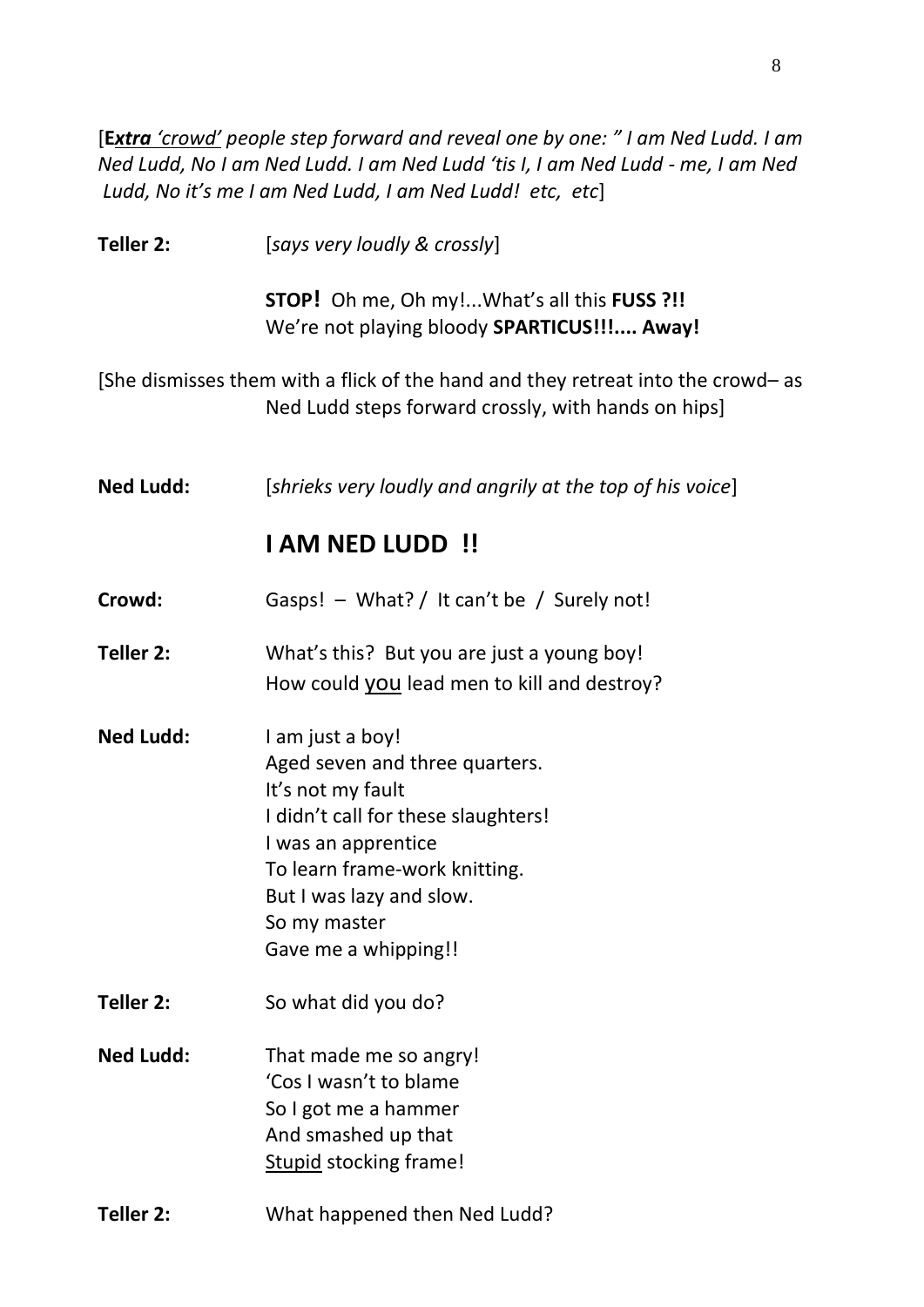[**E***xtra 'crowd' people step forward and reveal one by one: " I am Ned Ludd. I am Ned Ludd, No I am Ned Ludd. I am Ned Ludd 'tis I, I am Ned Ludd - me, I am Ned Ludd, No it's me I am Ned Ludd, I am Ned Ludd! etc, etc*]

| Teller 2:        | [says very loudly & crossly]                                                                                                                                                                                                               |
|------------------|--------------------------------------------------------------------------------------------------------------------------------------------------------------------------------------------------------------------------------------------|
|                  | <b>STOP!</b> Oh me, Oh my!What's all this <b>FUSS</b> ?!!<br>We're not playing bloody SPARTICUS!!! Away!                                                                                                                                   |
|                  | [She dismisses them with a flick of the hand and they retreat into the crowd- as<br>Ned Ludd steps forward crossly, with hands on hips]                                                                                                    |
| <b>Ned Ludd:</b> | [shrieks very loudly and angrily at the top of his voice]                                                                                                                                                                                  |
|                  | <b>I AM NED LUDD!!</b>                                                                                                                                                                                                                     |
| Crowd:           | Gasps! - What? / It can't be / Surely not!                                                                                                                                                                                                 |
| Teller 2:        | What's this? But you are just a young boy!<br>How could you lead men to kill and destroy?                                                                                                                                                  |
| <b>Ned Ludd:</b> | I am just a boy!<br>Aged seven and three quarters.<br>It's not my fault<br>I didn't call for these slaughters!<br>I was an apprentice<br>To learn frame-work knitting.<br>But I was lazy and slow.<br>So my master<br>Gave me a whipping!! |
| Teller 2:        | So what did you do?                                                                                                                                                                                                                        |
| <b>Ned Ludd:</b> | That made me so angry!<br>'Cos I wasn't to blame<br>So I got me a hammer<br>And smashed up that<br><b>Stupid stocking frame!</b>                                                                                                           |
| Teller 2:        | What happened then Ned Ludd?                                                                                                                                                                                                               |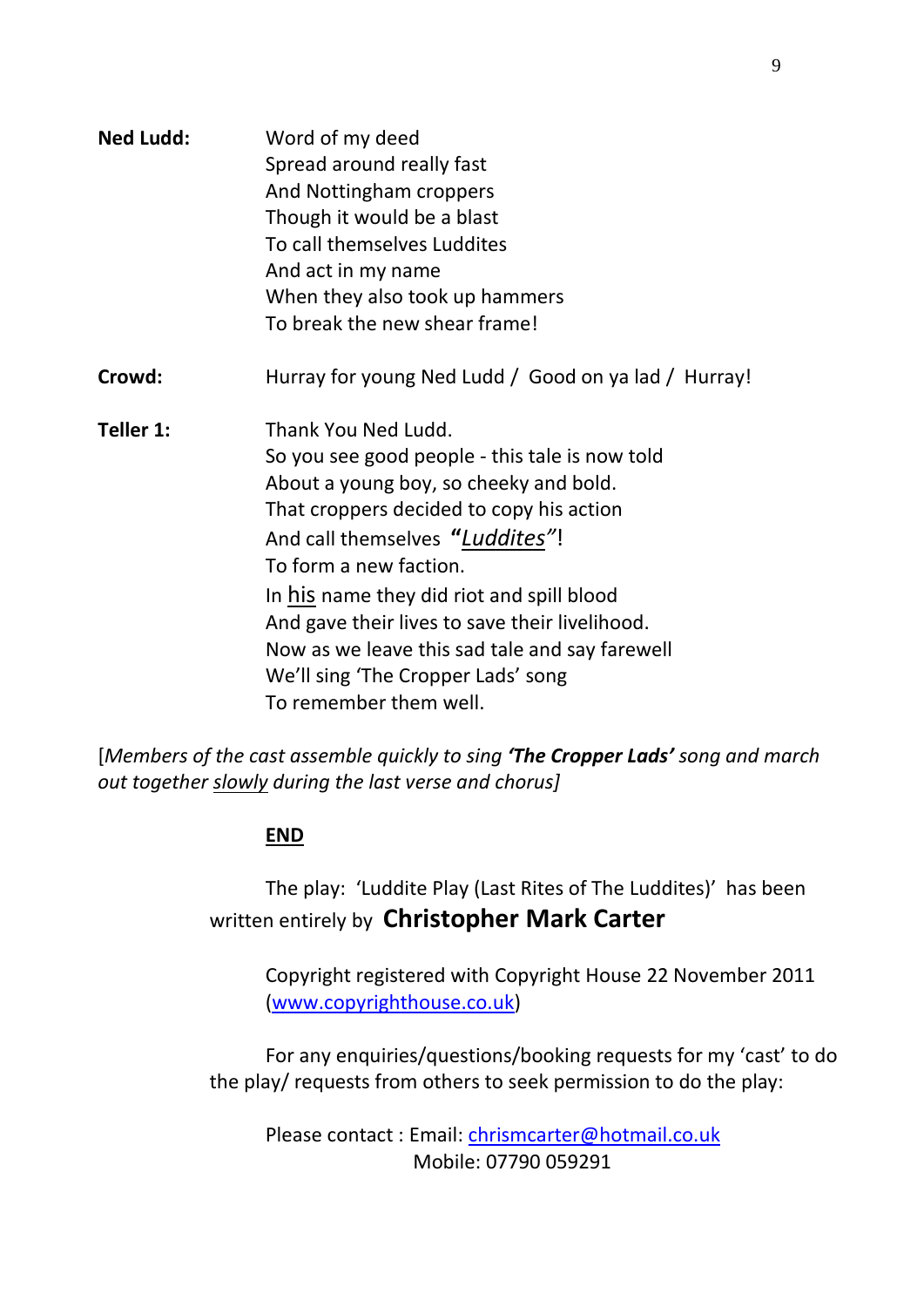| <b>Ned Ludd:</b> | Word of my deed<br>Spread around really fast<br>And Nottingham croppers<br>Though it would be a blast<br>To call themselves Luddites |  |  |  |                                |
|------------------|--------------------------------------------------------------------------------------------------------------------------------------|--|--|--|--------------------------------|
|                  |                                                                                                                                      |  |  |  |                                |
|                  |                                                                                                                                      |  |  |  |                                |
|                  |                                                                                                                                      |  |  |  | And act in my name             |
|                  |                                                                                                                                      |  |  |  | When they also took up hammers |
|                  | To break the new shear frame!                                                                                                        |  |  |  |                                |
| Crowd:           | Hurray for young Ned Ludd / Good on ya lad / Hurray!                                                                                 |  |  |  |                                |
| Teller 1:        | Thank You Ned Ludd.                                                                                                                  |  |  |  |                                |
|                  | So you see good people - this tale is now told                                                                                       |  |  |  |                                |
|                  | About a young boy, so cheeky and bold.                                                                                               |  |  |  |                                |
|                  | That croppers decided to copy his action                                                                                             |  |  |  |                                |
|                  | And call themselves "Luddites"!                                                                                                      |  |  |  |                                |
|                  | To form a new faction.                                                                                                               |  |  |  |                                |
|                  | In his name they did riot and spill blood                                                                                            |  |  |  |                                |
|                  | And gave their lives to save their livelihood.                                                                                       |  |  |  |                                |
|                  | Now as we leave this sad tale and say farewell                                                                                       |  |  |  |                                |
|                  | We'll sing 'The Cropper Lads' song                                                                                                   |  |  |  |                                |
|                  | To remember them well.                                                                                                               |  |  |  |                                |

[*Members of the cast assemble quickly to sing 'The Cropper Lads' song and march out together slowly during the last verse and chorus]*

## **END**

The play: 'Luddite Play (Last Rites of The Luddites)' has been written entirely by **Christopher Mark Carter**

Copyright registered with Copyright House 22 November 2011 [\(www.copyrighthouse.co.uk\)](http://www.copyrighthouse.co.uk/)

For any enquiries/questions/booking requests for my 'cast' to do the play/ requests from others to seek permission to do the play:

Please contact : Email: [chrismcarter@hotmail.co.uk](mailto:chrismcarter@hotmail.co.uk) Mobile: 07790 059291